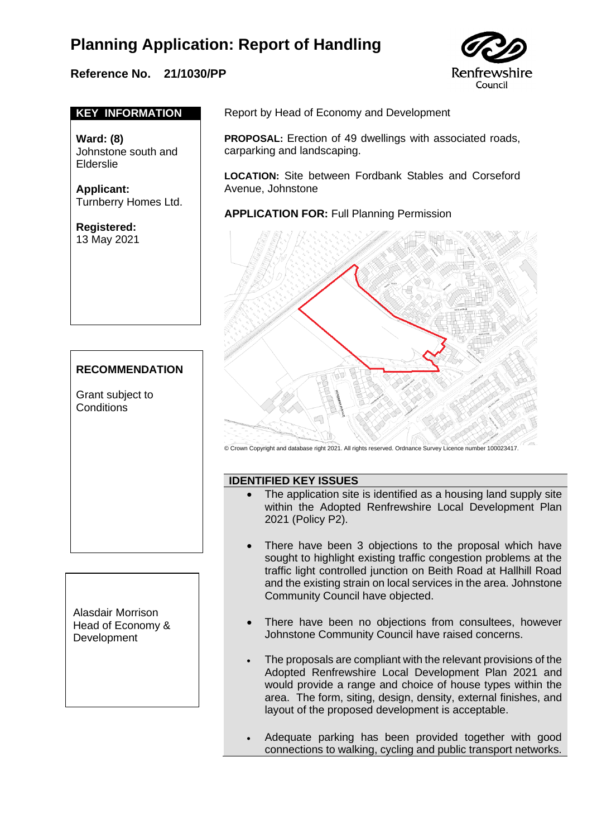### **Reference No. 21/1030/PP**



#### **KEY INFORMATION**

**Ward: (8)**  Johnstone south and Elderslie

**Applicant:**  Turnberry Homes Ltd.

**Registered:**  13 May 2021

#### **RECOMMENDATION**

Grant subject to **Conditions** 

Alasdair Morrison Head of Economy & **Development** 

Report by Head of Economy and Development

**PROPOSAL:** Erection of 49 dwellings with associated roads, carparking and landscaping.

**LOCATION:** Site between Fordbank Stables and Corseford Avenue, Johnstone

**APPLICATION FOR:** Full Planning Permission



© Crown Copyright and database right 2021. All rights reserved. Ordnance Survey Licence number 100023417.

#### **IDENTIFIED KEY ISSUES**

- The application site is identified as a housing land supply site within the Adopted Renfrewshire Local Development Plan 2021 (Policy P2).
	- There have been 3 objections to the proposal which have sought to highlight existing traffic congestion problems at the traffic light controlled junction on Beith Road at Hallhill Road and the existing strain on local services in the area. Johnstone Community Council have objected.
- There have been no objections from consultees, however Johnstone Community Council have raised concerns.
- The proposals are compliant with the relevant provisions of the Adopted Renfrewshire Local Development Plan 2021 and would provide a range and choice of house types within the area. The form, siting, design, density, external finishes, and layout of the proposed development is acceptable.
- Adequate parking has been provided together with good connections to walking, cycling and public transport networks.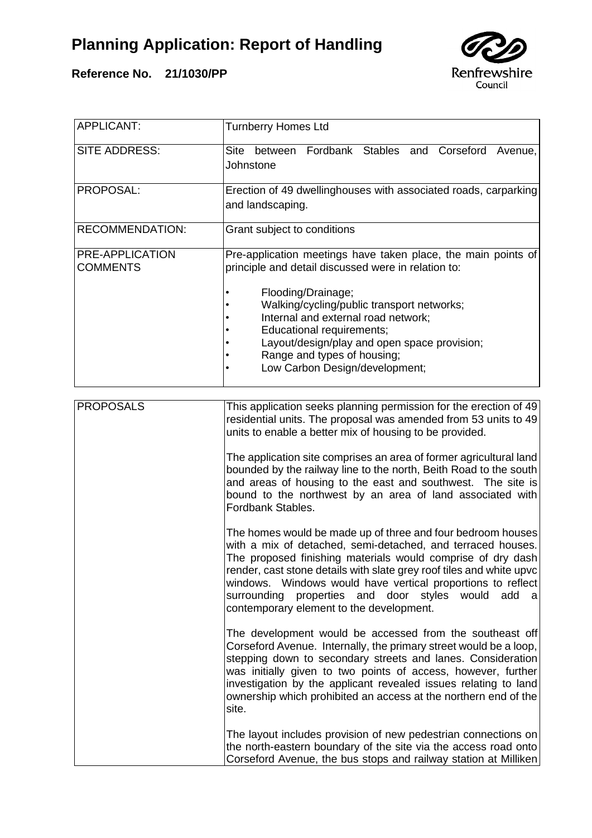



| <b>APPLICANT:</b>                  | <b>Turnberry Homes Ltd</b>                                                                                                                                                                                                                                                                                                                                                                                                               |
|------------------------------------|------------------------------------------------------------------------------------------------------------------------------------------------------------------------------------------------------------------------------------------------------------------------------------------------------------------------------------------------------------------------------------------------------------------------------------------|
| SITE ADDRESS:                      | Fordbank Stables and Corseford<br>Site<br>between<br>Avenue,<br>Johnstone                                                                                                                                                                                                                                                                                                                                                                |
| PROPOSAL:                          | Erection of 49 dwellinghouses with associated roads, carparking<br>and landscaping.                                                                                                                                                                                                                                                                                                                                                      |
| <b>RECOMMENDATION:</b>             | Grant subject to conditions                                                                                                                                                                                                                                                                                                                                                                                                              |
| PRE-APPLICATION<br><b>COMMENTS</b> | Pre-application meetings have taken place, the main points of<br>principle and detail discussed were in relation to:                                                                                                                                                                                                                                                                                                                     |
|                                    | Flooding/Drainage;<br>Walking/cycling/public transport networks;<br>Internal and external road network;<br>Educational requirements;<br>Layout/design/play and open space provision;<br>Range and types of housing;<br>Low Carbon Design/development;                                                                                                                                                                                    |
| <b>PROPOSALS</b>                   | This application seeks planning permission for the erection of 49<br>residential units. The proposal was amended from 53 units to 49<br>units to enable a better mix of housing to be provided.                                                                                                                                                                                                                                          |
|                                    | The application site comprises an area of former agricultural land<br>bounded by the railway line to the north, Beith Road to the south<br>and areas of housing to the east and southwest. The site is<br>bound to the northwest by an area of land associated with<br>Fordbank Stables.                                                                                                                                                 |
|                                    | The homes would be made up of three and four bedroom houses<br>with a mix of detached, semi-detached, and terraced houses.<br>The proposed finishing materials would comprise of dry dash<br>render, cast stone details with slate grey roof tiles and white upvc<br>windows. Windows would have vertical proportions to reflect<br>surrounding properties and door styles would add<br>al a<br>contemporary element to the development. |
|                                    | The development would be accessed from the southeast off<br>Corseford Avenue. Internally, the primary street would be a loop,<br>stepping down to secondary streets and lanes. Consideration<br>was initially given to two points of access, however, further<br>investigation by the applicant revealed issues relating to land<br>ownership which prohibited an access at the northern end of the<br>site.                             |
|                                    | The layout includes provision of new pedestrian connections on<br>the north-eastern boundary of the site via the access road onto<br>Corseford Avenue, the bus stops and railway station at Milliken                                                                                                                                                                                                                                     |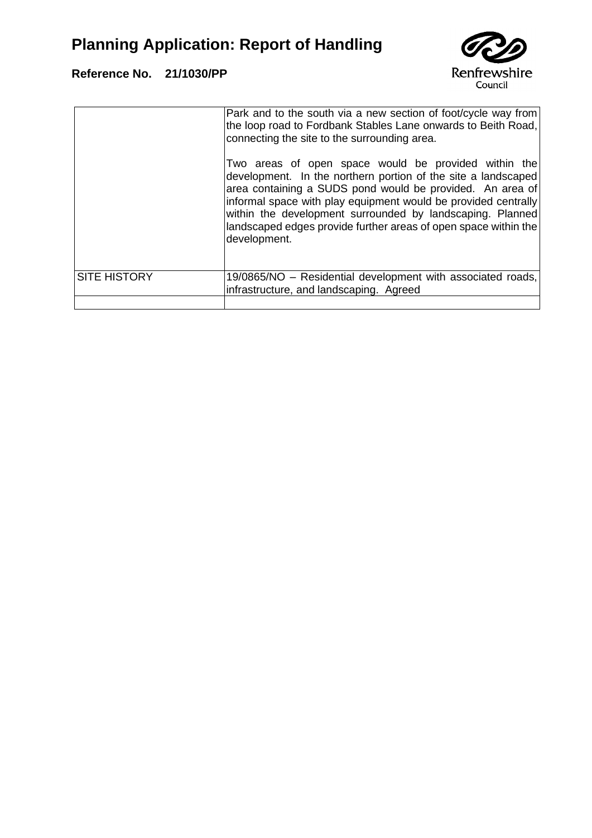

|                     | Park and to the south via a new section of foot/cycle way from<br>the loop road to Fordbank Stables Lane onwards to Beith Road,<br>connecting the site to the surrounding area.                                                                                                                                                                                                                      |
|---------------------|------------------------------------------------------------------------------------------------------------------------------------------------------------------------------------------------------------------------------------------------------------------------------------------------------------------------------------------------------------------------------------------------------|
|                     | Two areas of open space would be provided within the<br>development. In the northern portion of the site a landscaped<br>area containing a SUDS pond would be provided. An area of<br>informal space with play equipment would be provided centrally<br>within the development surrounded by landscaping. Planned<br>landscaped edges provide further areas of open space within the<br>development. |
| <b>SITE HISTORY</b> | 19/0865/NO – Residential development with associated roads,<br>infrastructure, and landscaping. Agreed                                                                                                                                                                                                                                                                                               |
|                     |                                                                                                                                                                                                                                                                                                                                                                                                      |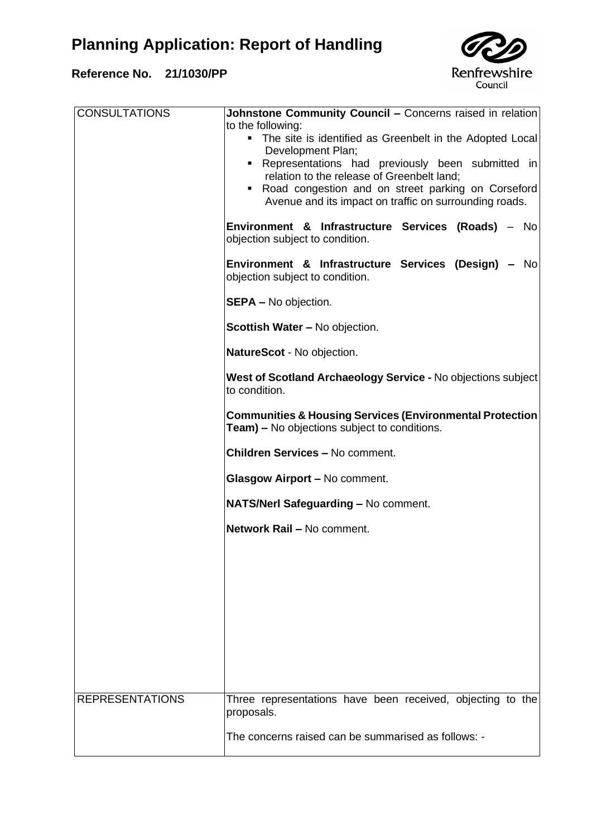

| <b>CONSULTATIONS</b>   | <b>Johnstone Community Council - Concerns raised in relation</b><br>to the following:<br>• The site is identified as Greenbelt in the Adopted Local<br>Development Plan;<br>• Representations had previously been submitted in<br>relation to the release of Greenbelt land;<br>• Road congestion and on street parking on Corseford<br>Avenue and its impact on traffic on surrounding roads.<br>Environment & Infrastructure Services (Roads) - No<br>objection subject to condition. |
|------------------------|-----------------------------------------------------------------------------------------------------------------------------------------------------------------------------------------------------------------------------------------------------------------------------------------------------------------------------------------------------------------------------------------------------------------------------------------------------------------------------------------|
|                        | Environment & Infrastructure Services (Design) - No<br>objection subject to condition.                                                                                                                                                                                                                                                                                                                                                                                                  |
|                        | <b>SEPA - No objection.</b>                                                                                                                                                                                                                                                                                                                                                                                                                                                             |
|                        | <b>Scottish Water - No objection.</b>                                                                                                                                                                                                                                                                                                                                                                                                                                                   |
|                        | NatureScot - No objection.                                                                                                                                                                                                                                                                                                                                                                                                                                                              |
|                        | West of Scotland Archaeology Service - No objections subject<br>to condition.                                                                                                                                                                                                                                                                                                                                                                                                           |
|                        | <b>Communities &amp; Housing Services (Environmental Protection</b><br>Team) - No objections subject to conditions.                                                                                                                                                                                                                                                                                                                                                                     |
|                        | <b>Children Services - No comment.</b>                                                                                                                                                                                                                                                                                                                                                                                                                                                  |
|                        | Glasgow Airport - No comment.                                                                                                                                                                                                                                                                                                                                                                                                                                                           |
|                        | NATS/Nerl Safeguarding - No comment.                                                                                                                                                                                                                                                                                                                                                                                                                                                    |
|                        | Network Rail - No comment.                                                                                                                                                                                                                                                                                                                                                                                                                                                              |
|                        |                                                                                                                                                                                                                                                                                                                                                                                                                                                                                         |
|                        |                                                                                                                                                                                                                                                                                                                                                                                                                                                                                         |
|                        |                                                                                                                                                                                                                                                                                                                                                                                                                                                                                         |
|                        |                                                                                                                                                                                                                                                                                                                                                                                                                                                                                         |
|                        |                                                                                                                                                                                                                                                                                                                                                                                                                                                                                         |
| <b>REPRESENTATIONS</b> | Three representations have been received, objecting to the<br>proposals.                                                                                                                                                                                                                                                                                                                                                                                                                |
|                        | The concerns raised can be summarised as follows: -                                                                                                                                                                                                                                                                                                                                                                                                                                     |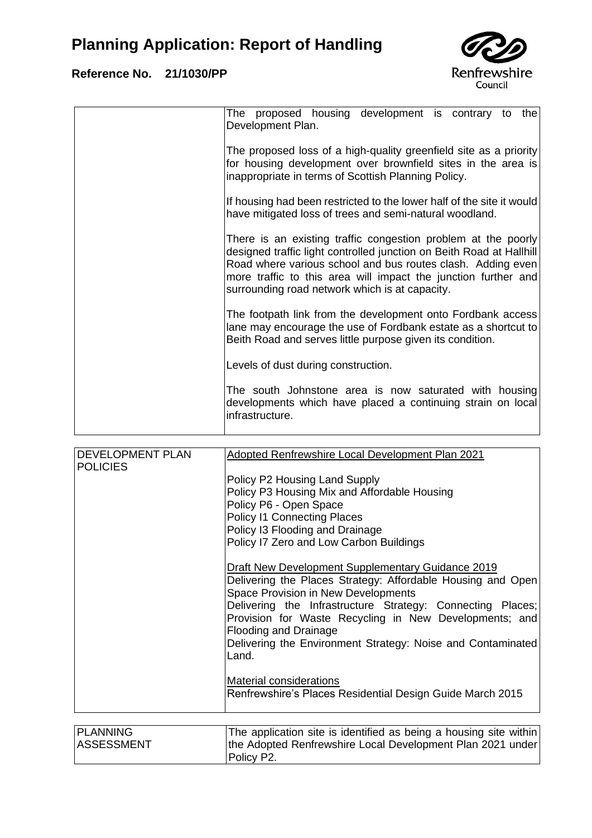

| The proposed housing development is contrary to<br>the<br>Development Plan.                                                                                                                                                                                                                                              |
|--------------------------------------------------------------------------------------------------------------------------------------------------------------------------------------------------------------------------------------------------------------------------------------------------------------------------|
| The proposed loss of a high-quality greenfield site as a priority<br>for housing development over brownfield sites in the area is<br>inappropriate in terms of Scottish Planning Policy.                                                                                                                                 |
| If housing had been restricted to the lower half of the site it would<br>have mitigated loss of trees and semi-natural woodland.                                                                                                                                                                                         |
| There is an existing traffic congestion problem at the poorly<br>designed traffic light controlled junction on Beith Road at Hallhill<br>Road where various school and bus routes clash. Adding even<br>more traffic to this area will impact the junction further and<br>surrounding road network which is at capacity. |
| The footpath link from the development onto Fordbank access<br>lane may encourage the use of Fordbank estate as a shortcut to<br>Beith Road and serves little purpose given its condition.                                                                                                                               |
| Levels of dust during construction.                                                                                                                                                                                                                                                                                      |
| The south Johnstone area is now saturated with housing<br>developments which have placed a continuing strain on local<br>infrastructure.                                                                                                                                                                                 |
|                                                                                                                                                                                                                                                                                                                          |

| <b>DEVELOPMENT PLAN</b> | Adopted Renfrewshire Local Development Plan 2021                                |
|-------------------------|---------------------------------------------------------------------------------|
| <b>POLICIES</b>         |                                                                                 |
|                         | Policy P2 Housing Land Supply                                                   |
|                         | Policy P3 Housing Mix and Affordable Housing                                    |
|                         | Policy P6 - Open Space                                                          |
|                         | <b>Policy I1 Connecting Places</b>                                              |
|                         | Policy I3 Flooding and Drainage                                                 |
|                         | Policy I7 Zero and Low Carbon Buildings                                         |
|                         | Draft New Development Supplementary Guidance 2019                               |
|                         | Delivering the Places Strategy: Affordable Housing and Open                     |
|                         | Space Provision in New Developments                                             |
|                         | Delivering the Infrastructure Strategy: Connecting Places;                      |
|                         | Provision for Waste Recycling in New Developments; and<br>Flooding and Drainage |
|                         | Delivering the Environment Strategy: Noise and Contaminated                     |
|                         | Land.                                                                           |
|                         |                                                                                 |
|                         | <b>Material considerations</b>                                                  |
|                         | Renfrewshire's Places Residential Design Guide March 2015                       |
|                         |                                                                                 |
| <b>PLANNING</b>         | The application site is identified as being a housing site within b             |

| <b>PLANNING</b>   | The application site is identified as being a housing site within |
|-------------------|-------------------------------------------------------------------|
| <b>ASSESSMENT</b> | the Adopted Renfrewshire Local Development Plan 2021 under        |
|                   | Policy P2.                                                        |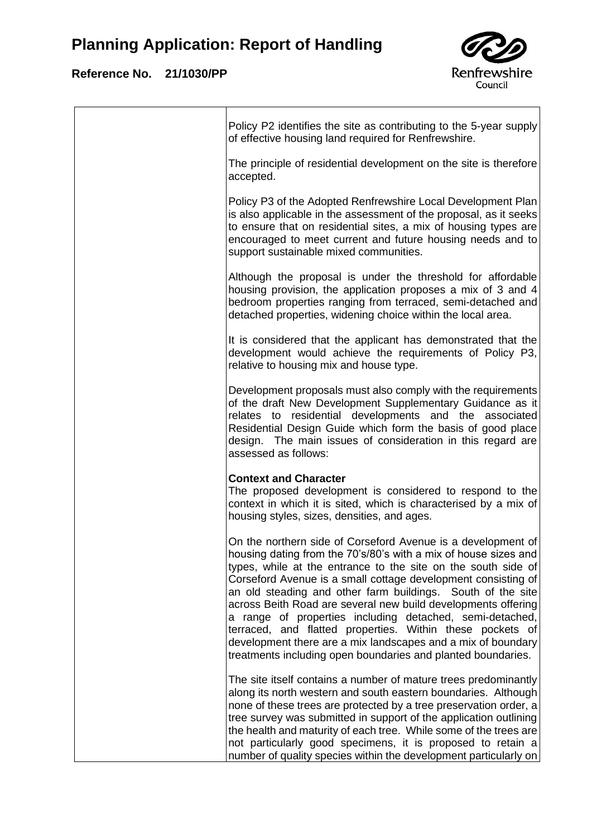

| Policy P2 identifies the site as contributing to the 5-year supply<br>of effective housing land required for Renfrewshire.                                                                                                                                                                                                                                                                                                                                                                                                                                                                                                                                 |
|------------------------------------------------------------------------------------------------------------------------------------------------------------------------------------------------------------------------------------------------------------------------------------------------------------------------------------------------------------------------------------------------------------------------------------------------------------------------------------------------------------------------------------------------------------------------------------------------------------------------------------------------------------|
| The principle of residential development on the site is therefore<br>accepted.                                                                                                                                                                                                                                                                                                                                                                                                                                                                                                                                                                             |
| Policy P3 of the Adopted Renfrewshire Local Development Plan<br>is also applicable in the assessment of the proposal, as it seeks<br>to ensure that on residential sites, a mix of housing types are<br>encouraged to meet current and future housing needs and to<br>support sustainable mixed communities.                                                                                                                                                                                                                                                                                                                                               |
| Although the proposal is under the threshold for affordable<br>housing provision, the application proposes a mix of 3 and 4<br>bedroom properties ranging from terraced, semi-detached and<br>detached properties, widening choice within the local area.                                                                                                                                                                                                                                                                                                                                                                                                  |
| It is considered that the applicant has demonstrated that the<br>development would achieve the requirements of Policy P3,<br>relative to housing mix and house type.                                                                                                                                                                                                                                                                                                                                                                                                                                                                                       |
| Development proposals must also comply with the requirements<br>of the draft New Development Supplementary Guidance as it<br>relates to residential developments and the associated<br>Residential Design Guide which form the basis of good place<br>design. The main issues of consideration in this regard are<br>assessed as follows:                                                                                                                                                                                                                                                                                                                  |
| <b>Context and Character</b><br>The proposed development is considered to respond to the<br>context in which it is sited, which is characterised by a mix of<br>housing styles, sizes, densities, and ages.                                                                                                                                                                                                                                                                                                                                                                                                                                                |
| On the northern side of Corseford Avenue is a development of<br>housing dating from the 70's/80's with a mix of house sizes and<br>types, while at the entrance to the site on the south side of<br>Corseford Avenue is a small cottage development consisting of<br>an old steading and other farm buildings. South of the site<br>across Beith Road are several new build developments offering<br>a range of properties including detached, semi-detached,<br>terraced, and flatted properties. Within these pockets of<br>development there are a mix landscapes and a mix of boundary<br>treatments including open boundaries and planted boundaries. |
| The site itself contains a number of mature trees predominantly<br>along its north western and south eastern boundaries. Although<br>none of these trees are protected by a tree preservation order, a<br>tree survey was submitted in support of the application outlining<br>the health and maturity of each tree. While some of the trees are<br>not particularly good specimens, it is proposed to retain a<br>number of quality species within the development particularly on                                                                                                                                                                        |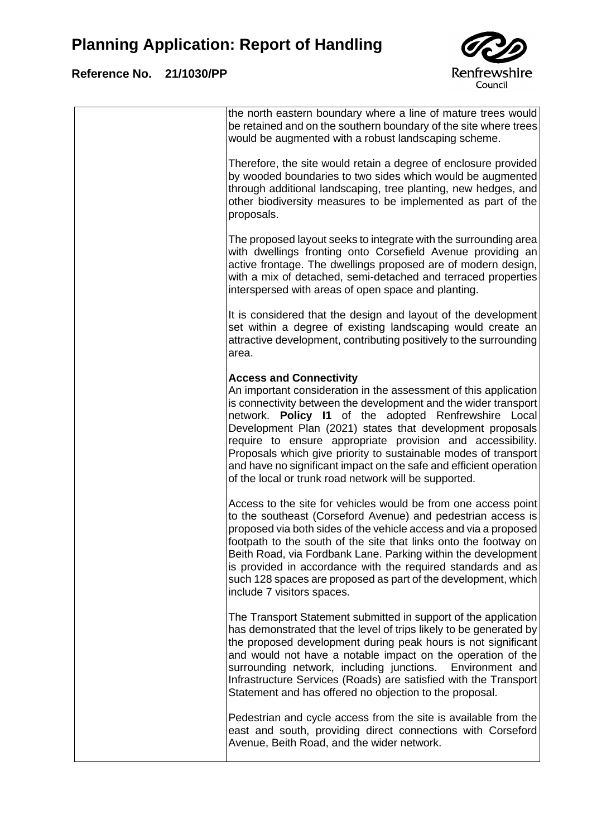

| the north eastern boundary where a line of mature trees would<br>be retained and on the southern boundary of the site where trees<br>would be augmented with a robust landscaping scheme.                                                                                                                                                                                                                                                                                                                                                                  |
|------------------------------------------------------------------------------------------------------------------------------------------------------------------------------------------------------------------------------------------------------------------------------------------------------------------------------------------------------------------------------------------------------------------------------------------------------------------------------------------------------------------------------------------------------------|
| Therefore, the site would retain a degree of enclosure provided<br>by wooded boundaries to two sides which would be augmented<br>through additional landscaping, tree planting, new hedges, and<br>other biodiversity measures to be implemented as part of the<br>proposals.                                                                                                                                                                                                                                                                              |
| The proposed layout seeks to integrate with the surrounding area<br>with dwellings fronting onto Corsefield Avenue providing an<br>active frontage. The dwellings proposed are of modern design,<br>with a mix of detached, semi-detached and terraced properties<br>interspersed with areas of open space and planting.                                                                                                                                                                                                                                   |
| It is considered that the design and layout of the development<br>set within a degree of existing landscaping would create an<br>attractive development, contributing positively to the surrounding<br>area.                                                                                                                                                                                                                                                                                                                                               |
| <b>Access and Connectivity</b><br>An important consideration in the assessment of this application<br>is connectivity between the development and the wider transport<br>network. Policy I1 of the adopted Renfrewshire Local<br>Development Plan (2021) states that development proposals<br>require to ensure appropriate provision and accessibility.<br>Proposals which give priority to sustainable modes of transport<br>and have no significant impact on the safe and efficient operation<br>of the local or trunk road network will be supported. |
| Access to the site for vehicles would be from one access point<br>to the southeast (Corseford Avenue) and pedestrian access is<br>proposed via both sides of the vehicle access and via a proposed<br>footpath to the south of the site that links onto the footway on<br>Beith Road, via Fordbank Lane. Parking within the development<br>is provided in accordance with the required standards and as<br>such 128 spaces are proposed as part of the development, which<br>include 7 visitors spaces.                                                    |
| The Transport Statement submitted in support of the application<br>has demonstrated that the level of trips likely to be generated by<br>the proposed development during peak hours is not significant<br>and would not have a notable impact on the operation of the<br>surrounding network, including junctions. Environment and<br>Infrastructure Services (Roads) are satisfied with the Transport<br>Statement and has offered no objection to the proposal.                                                                                          |
| Pedestrian and cycle access from the site is available from the<br>east and south, providing direct connections with Corseford<br>Avenue, Beith Road, and the wider network.                                                                                                                                                                                                                                                                                                                                                                               |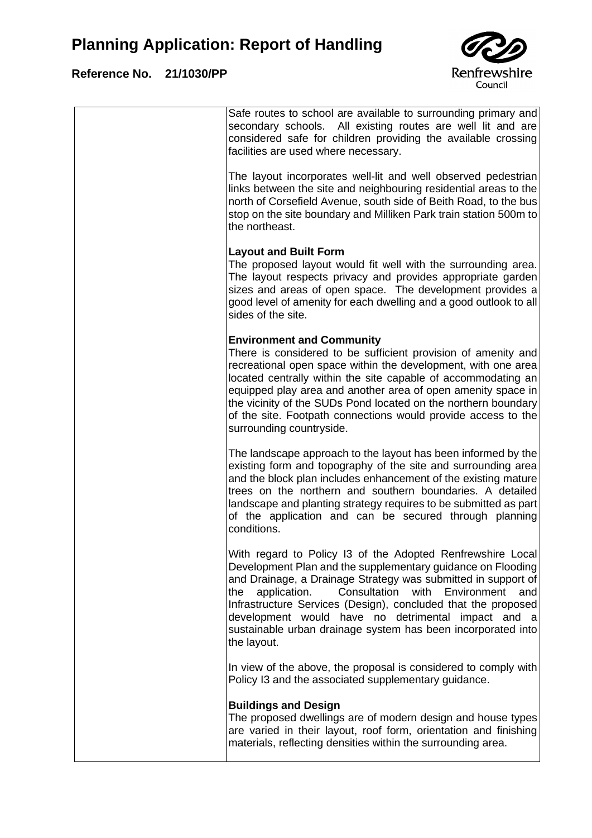

| Safe routes to school are available to surrounding primary and<br>secondary schools. All existing routes are well lit and are<br>considered safe for children providing the available crossing<br>facilities are used where necessary.                                                                                                                                                                                                                                   |
|--------------------------------------------------------------------------------------------------------------------------------------------------------------------------------------------------------------------------------------------------------------------------------------------------------------------------------------------------------------------------------------------------------------------------------------------------------------------------|
| The layout incorporates well-lit and well observed pedestrian<br>links between the site and neighbouring residential areas to the<br>north of Corsefield Avenue, south side of Beith Road, to the bus<br>stop on the site boundary and Milliken Park train station 500m to<br>the northeast.                                                                                                                                                                             |
| <b>Layout and Built Form</b><br>The proposed layout would fit well with the surrounding area.<br>The layout respects privacy and provides appropriate garden<br>sizes and areas of open space. The development provides a<br>good level of amenity for each dwelling and a good outlook to all<br>sides of the site.                                                                                                                                                     |
| <b>Environment and Community</b><br>There is considered to be sufficient provision of amenity and<br>recreational open space within the development, with one area<br>located centrally within the site capable of accommodating an<br>equipped play area and another area of open amenity space in<br>the vicinity of the SUDs Pond located on the northern boundary<br>of the site. Footpath connections would provide access to the<br>surrounding countryside.       |
| The landscape approach to the layout has been informed by the<br>existing form and topography of the site and surrounding area<br>and the block plan includes enhancement of the existing mature<br>trees on the northern and southern boundaries. A detailed<br>landscape and planting strategy requires to be submitted as part<br>of the application and can be secured through planning<br>conditions.                                                               |
| With regard to Policy I3 of the Adopted Renfrewshire Local<br>Development Plan and the supplementary guidance on Flooding<br>and Drainage, a Drainage Strategy was submitted in support of<br>application.<br>Consultation<br>with<br>Environment<br>the<br>and<br>Infrastructure Services (Design), concluded that the proposed<br>development would have no detrimental<br>impact and a<br>sustainable urban drainage system has been incorporated into<br>the layout. |
| In view of the above, the proposal is considered to comply with<br>Policy I3 and the associated supplementary guidance.                                                                                                                                                                                                                                                                                                                                                  |
| <b>Buildings and Design</b><br>The proposed dwellings are of modern design and house types<br>are varied in their layout, roof form, orientation and finishing<br>materials, reflecting densities within the surrounding area.                                                                                                                                                                                                                                           |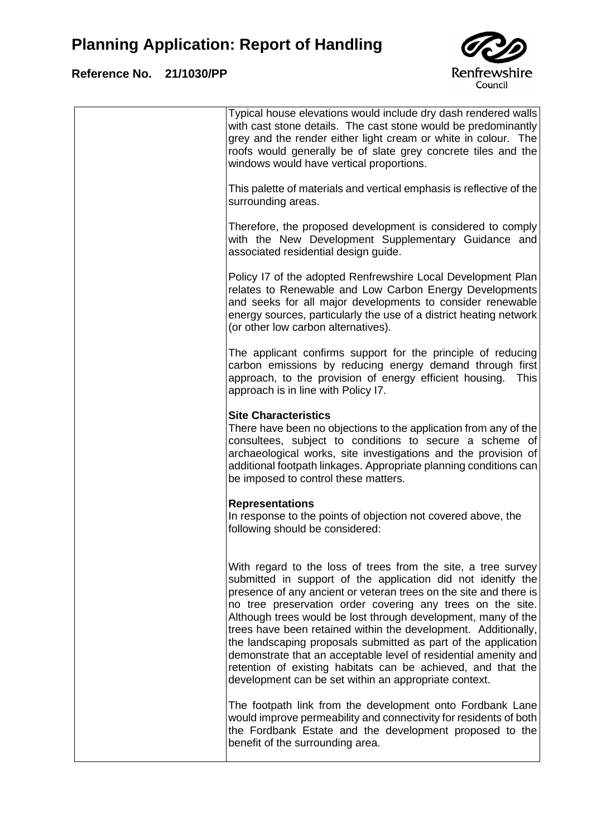### **Reference No. 21/1030/PP**

 $\overline{1}$ 



|  | Typical house elevations would include dry dash rendered walls<br>with cast stone details. The cast stone would be predominantly<br>grey and the render either light cream or white in colour. The<br>roofs would generally be of slate grey concrete tiles and the<br>windows would have vertical proportions.                                                                                                                                                                                                                                                                                                                                                   |
|--|-------------------------------------------------------------------------------------------------------------------------------------------------------------------------------------------------------------------------------------------------------------------------------------------------------------------------------------------------------------------------------------------------------------------------------------------------------------------------------------------------------------------------------------------------------------------------------------------------------------------------------------------------------------------|
|  | This palette of materials and vertical emphasis is reflective of the<br>surrounding areas.                                                                                                                                                                                                                                                                                                                                                                                                                                                                                                                                                                        |
|  | Therefore, the proposed development is considered to comply<br>with the New Development Supplementary Guidance and<br>associated residential design guide.                                                                                                                                                                                                                                                                                                                                                                                                                                                                                                        |
|  | Policy I7 of the adopted Renfrewshire Local Development Plan<br>relates to Renewable and Low Carbon Energy Developments<br>and seeks for all major developments to consider renewable<br>energy sources, particularly the use of a district heating network<br>(or other low carbon alternatives).                                                                                                                                                                                                                                                                                                                                                                |
|  | The applicant confirms support for the principle of reducing<br>carbon emissions by reducing energy demand through first<br>approach, to the provision of energy efficient housing.<br><b>This</b><br>approach is in line with Policy I7.                                                                                                                                                                                                                                                                                                                                                                                                                         |
|  | <b>Site Characteristics</b><br>There have been no objections to the application from any of the<br>consultees, subject to conditions to secure a scheme of<br>archaeological works, site investigations and the provision of<br>additional footpath linkages. Appropriate planning conditions can<br>be imposed to control these matters.                                                                                                                                                                                                                                                                                                                         |
|  | <b>Representations</b><br>In response to the points of objection not covered above, the<br>following should be considered:                                                                                                                                                                                                                                                                                                                                                                                                                                                                                                                                        |
|  | With regard to the loss of trees from the site, a tree survey<br>submitted in support of the application did not idenitfy the<br>presence of any ancient or veteran trees on the site and there is<br>no tree preservation order covering any trees on the site.<br>Although trees would be lost through development, many of the<br>trees have been retained within the development. Additionally,<br>the landscaping proposals submitted as part of the application<br>demonstrate that an acceptable level of residential amenity and<br>retention of existing habitats can be achieved, and that the<br>development can be set within an appropriate context. |
|  | The footpath link from the development onto Fordbank Lane<br>would improve permeability and connectivity for residents of both<br>the Fordbank Estate and the development proposed to the<br>benefit of the surrounding area.                                                                                                                                                                                                                                                                                                                                                                                                                                     |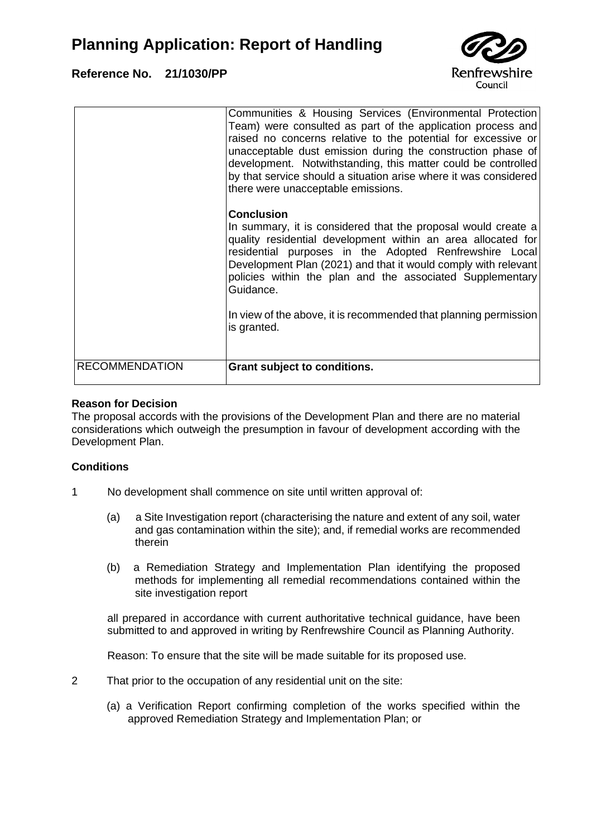### **Reference No. 21/1030/PP**



| <b>RECOMMENDATION</b> | Grant subject to conditions.                                                                                                                                                                                                                                                                                                                                                                                                                |
|-----------------------|---------------------------------------------------------------------------------------------------------------------------------------------------------------------------------------------------------------------------------------------------------------------------------------------------------------------------------------------------------------------------------------------------------------------------------------------|
|                       | <b>Conclusion</b><br>In summary, it is considered that the proposal would create a<br>quality residential development within an area allocated for<br>residential purposes in the Adopted Renfrewshire Local<br>Development Plan (2021) and that it would comply with relevant<br>policies within the plan and the associated Supplementary<br>Guidance.<br>In view of the above, it is recommended that planning permission<br>is granted. |
|                       | Communities & Housing Services (Environmental Protection<br>Team) were consulted as part of the application process and<br>raised no concerns relative to the potential for excessive or<br>unacceptable dust emission during the construction phase of<br>development. Notwithstanding, this matter could be controlled<br>by that service should a situation arise where it was considered<br>there were unacceptable emissions.          |

#### **Reason for Decision**

The proposal accords with the provisions of the Development Plan and there are no material considerations which outweigh the presumption in favour of development according with the Development Plan.

#### **Conditions**

- 1 No development shall commence on site until written approval of:
	- (a) a Site Investigation report (characterising the nature and extent of any soil, water and gas contamination within the site); and, if remedial works are recommended therein
	- (b) a Remediation Strategy and Implementation Plan identifying the proposed methods for implementing all remedial recommendations contained within the site investigation report

all prepared in accordance with current authoritative technical guidance, have been submitted to and approved in writing by Renfrewshire Council as Planning Authority.

Reason: To ensure that the site will be made suitable for its proposed use.

- 2 That prior to the occupation of any residential unit on the site:
	- (a) a Verification Report confirming completion of the works specified within the approved Remediation Strategy and Implementation Plan; or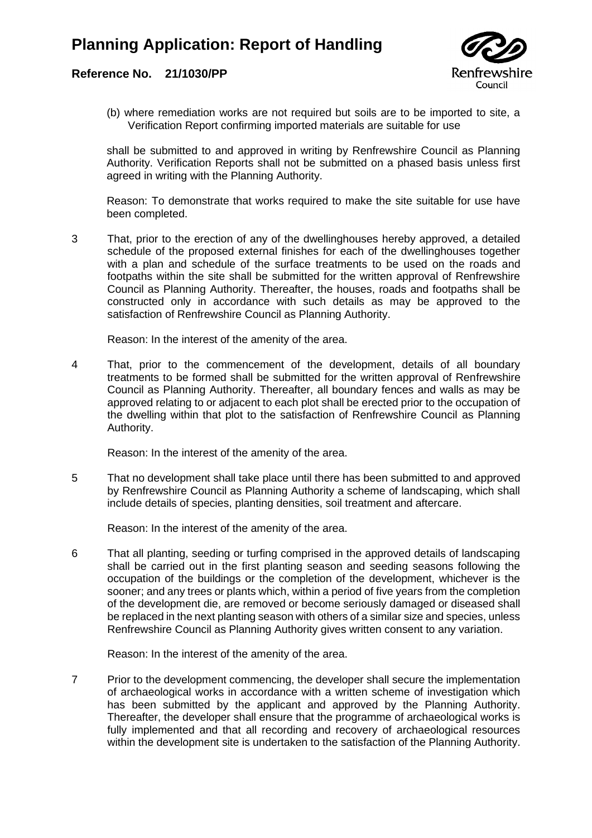#### **Reference No. 21/1030/PP**



(b) where remediation works are not required but soils are to be imported to site, a Verification Report confirming imported materials are suitable for use

shall be submitted to and approved in writing by Renfrewshire Council as Planning Authority. Verification Reports shall not be submitted on a phased basis unless first agreed in writing with the Planning Authority.

Reason: To demonstrate that works required to make the site suitable for use have been completed.

3 That, prior to the erection of any of the dwellinghouses hereby approved, a detailed schedule of the proposed external finishes for each of the dwellinghouses together with a plan and schedule of the surface treatments to be used on the roads and footpaths within the site shall be submitted for the written approval of Renfrewshire Council as Planning Authority. Thereafter, the houses, roads and footpaths shall be constructed only in accordance with such details as may be approved to the satisfaction of Renfrewshire Council as Planning Authority.

Reason: In the interest of the amenity of the area.

4 That, prior to the commencement of the development, details of all boundary treatments to be formed shall be submitted for the written approval of Renfrewshire Council as Planning Authority. Thereafter, all boundary fences and walls as may be approved relating to or adjacent to each plot shall be erected prior to the occupation of the dwelling within that plot to the satisfaction of Renfrewshire Council as Planning Authority.

Reason: In the interest of the amenity of the area.

5 That no development shall take place until there has been submitted to and approved by Renfrewshire Council as Planning Authority a scheme of landscaping, which shall include details of species, planting densities, soil treatment and aftercare.

Reason: In the interest of the amenity of the area.

6 That all planting, seeding or turfing comprised in the approved details of landscaping shall be carried out in the first planting season and seeding seasons following the occupation of the buildings or the completion of the development, whichever is the sooner; and any trees or plants which, within a period of five years from the completion of the development die, are removed or become seriously damaged or diseased shall be replaced in the next planting season with others of a similar size and species, unless Renfrewshire Council as Planning Authority gives written consent to any variation.

Reason: In the interest of the amenity of the area.

7 Prior to the development commencing, the developer shall secure the implementation of archaeological works in accordance with a written scheme of investigation which has been submitted by the applicant and approved by the Planning Authority. Thereafter, the developer shall ensure that the programme of archaeological works is fully implemented and that all recording and recovery of archaeological resources within the development site is undertaken to the satisfaction of the Planning Authority.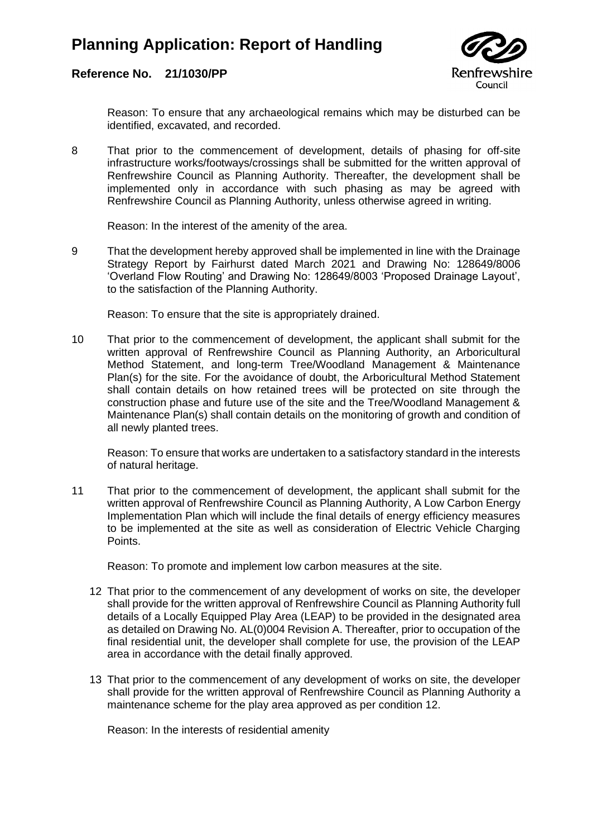

#### **Reference No. 21/1030/PP**

Reason: To ensure that any archaeological remains which may be disturbed can be identified, excavated, and recorded.

8 That prior to the commencement of development, details of phasing for off-site infrastructure works/footways/crossings shall be submitted for the written approval of Renfrewshire Council as Planning Authority. Thereafter, the development shall be implemented only in accordance with such phasing as may be agreed with Renfrewshire Council as Planning Authority, unless otherwise agreed in writing.

Reason: In the interest of the amenity of the area.

9 That the development hereby approved shall be implemented in line with the Drainage Strategy Report by Fairhurst dated March 2021 and Drawing No: 128649/8006 'Overland Flow Routing' and Drawing No: 128649/8003 'Proposed Drainage Layout', to the satisfaction of the Planning Authority.

Reason: To ensure that the site is appropriately drained.

10 That prior to the commencement of development, the applicant shall submit for the written approval of Renfrewshire Council as Planning Authority, an Arboricultural Method Statement, and long-term Tree/Woodland Management & Maintenance Plan(s) for the site. For the avoidance of doubt, the Arboricultural Method Statement shall contain details on how retained trees will be protected on site through the construction phase and future use of the site and the Tree/Woodland Management & Maintenance Plan(s) shall contain details on the monitoring of growth and condition of all newly planted trees.

Reason: To ensure that works are undertaken to a satisfactory standard in the interests of natural heritage.

11 That prior to the commencement of development, the applicant shall submit for the written approval of Renfrewshire Council as Planning Authority, A Low Carbon Energy Implementation Plan which will include the final details of energy efficiency measures to be implemented at the site as well as consideration of Electric Vehicle Charging Points.

Reason: To promote and implement low carbon measures at the site.

- 12 That prior to the commencement of any development of works on site, the developer shall provide for the written approval of Renfrewshire Council as Planning Authority full details of a Locally Equipped Play Area (LEAP) to be provided in the designated area as detailed on Drawing No. AL(0)004 Revision A. Thereafter, prior to occupation of the final residential unit, the developer shall complete for use, the provision of the LEAP area in accordance with the detail finally approved.
- 13 That prior to the commencement of any development of works on site, the developer shall provide for the written approval of Renfrewshire Council as Planning Authority a maintenance scheme for the play area approved as per condition 12.

Reason: In the interests of residential amenity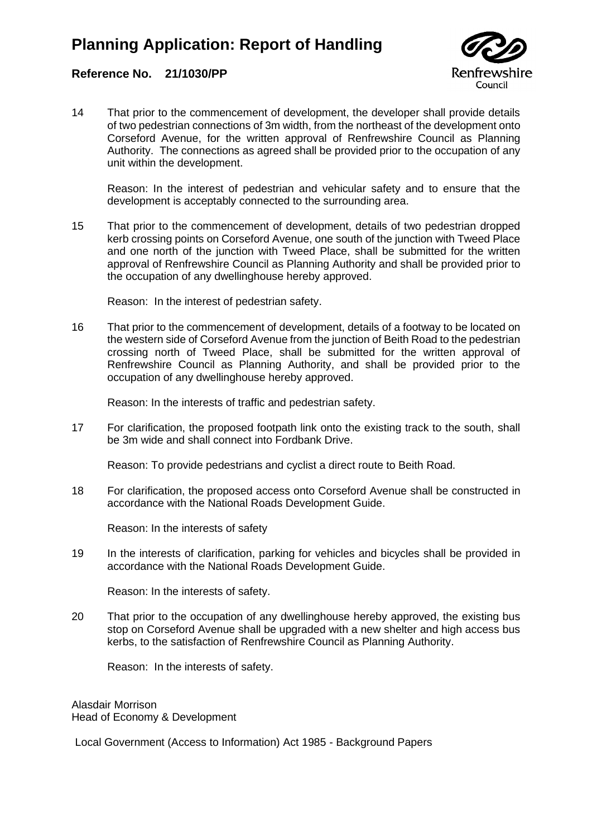

#### **Reference No. 21/1030/PP**

14 That prior to the commencement of development, the developer shall provide details of two pedestrian connections of 3m width, from the northeast of the development onto Corseford Avenue, for the written approval of Renfrewshire Council as Planning Authority. The connections as agreed shall be provided prior to the occupation of any unit within the development.

Reason: In the interest of pedestrian and vehicular safety and to ensure that the development is acceptably connected to the surrounding area.

15 That prior to the commencement of development, details of two pedestrian dropped kerb crossing points on Corseford Avenue, one south of the junction with Tweed Place and one north of the junction with Tweed Place, shall be submitted for the written approval of Renfrewshire Council as Planning Authority and shall be provided prior to the occupation of any dwellinghouse hereby approved.

Reason: In the interest of pedestrian safety.

16 That prior to the commencement of development, details of a footway to be located on the western side of Corseford Avenue from the junction of Beith Road to the pedestrian crossing north of Tweed Place, shall be submitted for the written approval of Renfrewshire Council as Planning Authority, and shall be provided prior to the occupation of any dwellinghouse hereby approved.

Reason: In the interests of traffic and pedestrian safety.

17 For clarification, the proposed footpath link onto the existing track to the south, shall be 3m wide and shall connect into Fordbank Drive.

Reason: To provide pedestrians and cyclist a direct route to Beith Road.

18 For clarification, the proposed access onto Corseford Avenue shall be constructed in accordance with the National Roads Development Guide.

Reason: In the interests of safety

19 In the interests of clarification, parking for vehicles and bicycles shall be provided in accordance with the National Roads Development Guide.

Reason: In the interests of safety.

20 That prior to the occupation of any dwellinghouse hereby approved, the existing bus stop on Corseford Avenue shall be upgraded with a new shelter and high access bus kerbs, to the satisfaction of Renfrewshire Council as Planning Authority.

Reason: In the interests of safety.

Alasdair Morrison Head of Economy & Development

Local Government (Access to Information) Act 1985 - Background Papers